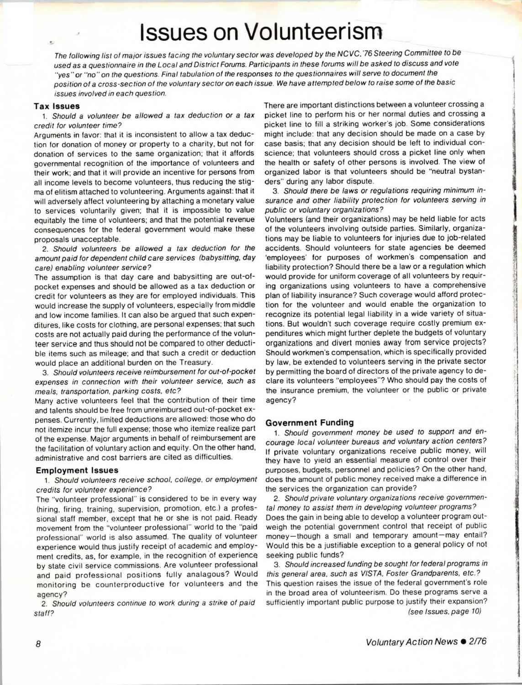# **Issues on Volunteerism**

The following list of major issues facing the voluntary sector was developed by the NC VC. 76 Steering Committee to be used as a questionnaire in the Local and District Forums. Participants in these forums will be asked to discuss and vote "yes" or "no" on the questions. Final tabulation of the responses to the questionnaires will serve to document the position of a cross-section of the voluntary sector on each issue. We have attempted below to raise some of the basic issues involved in each question.

#### **Tax Issues**

 $\frac{1}{2}$ 

1. Should a volunteer be allowed a tax deduction or a tax credit for volunteer time?

Arguments in favor: that it is inconsistent to allow a tax deduction for donation of money or property to a charity, but not for donation of services to the same organization; that it affords governmental recognition of the importance of volunteers and their **work;** and that it will provide an incentive for persons from all income levels to become volunteers, thus reducing the stigma of elitism attached to volunteering. Arguments against: that it will adversely affect volunteering by attaching a monetary value to services voluntarily given; that it is impossible to value equitably the time of volunteers; and that the potential revenue consequences for the federal government would make these proposals unacceptable.

2. Should volunteers be allowed a tax deduction for the amount paid for dependent child care services (babysitting, day care) enabling volunteer service?

The assumption is that day care and babysitting are out-ofpocket expenses and should be allowed as a tax deduction or credit for volunteers as they are for employed individuals. This would increase the supply of volunteers, especially from middle and low income families. It can also be argued that such expenditures, like costs for clothing, are personal expenses; that such costs are not actually paid during the performance of the volunteer service and thus should not be compared to other deductible items such as mileage; and that such a credit or deduction would place an additional burden on the Treasury.

3. Should volunteers receive reimbursement for out-of-pocket expenses in connection with their volunteer service. such as meals. transportation, parking costs. etc?

Many active volunteers feel that the contribution of their time and talents should be free from unreimbursed out-of-pocket expenses. Currently, limited deductions are allowed: those who do not itemize incur the full expense; those who itemize realize part of the expense. Major arguments in behalf of reimbursement are the facilitation of voluntary action and equity. On the other hand, administrative and cost barriers are cited as difficulties.

#### **Employment Issues**

1. Should volunteers receive school. college. or employment credits for volunteer experience?

The "volunteer professional" is considered to be in every way (hiring, firing, training, supervision, promotion, etc.) a professional staff member, except that he or she is not paid. Ready movement from the "volunteer professional" world to the "paid professional" world is also assumed. The quality of volunteer experience would thus justify receipt of academic and employment credits, as, for example, in the recognition of experience by state civil service commissions. Are volunteer professional and paid professional positions fully analagous? Would monitoring be counterproductive for volunteers and the agency?

2. Should volunteers continue to work during a strike of paid staff?

There are important distinctions between a volunteer crossing a picket line to perform his or her normal duties and crossing a picket line to fill a striking worker's job. Some considerations might include: that any decision should be made on a case by case basis; that any decision should be left to individual conscience; that volunteers should cross a picket line only when the health or safety of other persons is involved. The view of organized labor is that volunteers should be "neutral bystanders" during any labor dispute.

1

!

E SERVICE S

3. Should there be laws or regulations requiring minimum insurance and other liability protection for volunteers serving in public or voluntary organizations?

Volunteers (and their organizations) may be held liable for acts of the volunteers involving outside parties. Similarly, organizations may be liable to volunteers for injuries due to job-related accidents. Should volunteers for state agencies be deemed 'employees' for purposes of workmen's compensation and liability protection? Should there be a law or a regulation which would provide for uniform coverage of all volunteers by requiring organizations using volunteers to have a comprehensive plan of liability insurance? Such coverage would afford protection for the volunteer and would enable the organization to recognize its potential legal liability in a wide variety of situations. But wouldn't such coverage require costly premium expenditures which might further deplete the budgets of voluntary organizations and divert monies away from service projects? Should workmen's compensation, which is specifically provided by law, be extended to volunteers serving in the private sector by permitting the board of directors of the private agency to declare its volunteers "employees"? Who should pay the costs of the insurance premium, the volunteer or the public or private agency?

#### **Government Funding**

1. Should government money be used to support and encourage local volunteer bureaus and voluntary action centers? If private voluntary organizations receive public money, will they have to yield an essential measure of control over their purposes, budgets, personnel and policies? On the other hand. does the amount of public money received make a difference in the services the organization can provide?

2. Should private voluntary organizations receive governmental money to assist them in developing volunteer programs? Does the gain in being able to develop a volunteer program outweigh the potential government control that receipt of public money-though a small and temporary amount-may entail? Would this be a justifiable exception to a general policy of not seeking public funds?

3. Should increased funding be sought for federal programs in this general area, such as VISTA, Foster Grandparents, etc.? This question raises the issue of the federal government's role in the broad area of volunteerism. Do these programs serve a sufficiently important public purpose to justify their expansion? (see Issues. page 10)